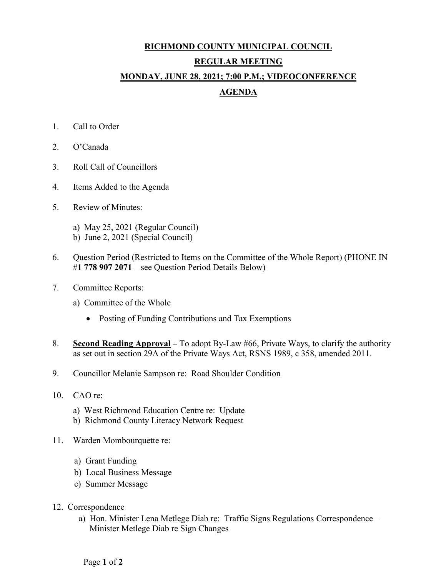## **RICHMOND COUNTY MUNICIPAL COUNCIL REGULAR MEETING MONDAY, JUNE 28, 2021; 7:00 P.M.; VIDEOCONFERENCE AGENDA**

- 1. Call to Order
- 2. O'Canada
- 3. Roll Call of Councillors
- 4. Items Added to the Agenda
- 5. Review of Minutes:
	- a) May 25, 2021 (Regular Council)
	- b) June 2, 2021 (Special Council)
- 6. Question Period (Restricted to Items on the Committee of the Whole Report) (PHONE IN #**1 778 907 2071** – see Question Period Details Below)
- 7. Committee Reports:
	- a) Committee of the Whole
		- Posting of Funding Contributions and Tax Exemptions
- 8. **Second Reading Approval –** To adopt By-Law #66, Private Ways, to clarify the authority as set out in section 29A of the Private Ways Act, RSNS 1989, c 358, amended 2011.
- 9. Councillor Melanie Sampson re: Road Shoulder Condition
- 10. CAO re:
	- a) West Richmond Education Centre re: Update
	- b) Richmond County Literacy Network Request
- 11. Warden Mombourquette re:
	- a) Grant Funding
	- b) Local Business Message
	- c) Summer Message
- 12. Correspondence
	- a) Hon. Minister Lena Metlege Diab re: Traffic Signs Regulations Correspondence Minister Metlege Diab re Sign Changes